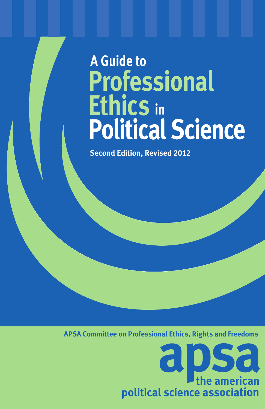# **A Guide to Professional Ethics** in **Political Science**

**Second Edition, Revised 2012**

**APSA Committee on Professional Ethics, Rights and Freedoms**

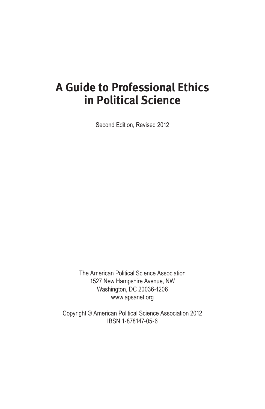### **A Guide to Professional Ethics in Political Science**

Second Edition, Revised 2012

The American Political Science Association 1527 New Hampshire Avenue, NW Washington, DC 20036-1206 www.apsanet.org

Copyright © American Political Science Association 2012 IBSN 1-878147-05-6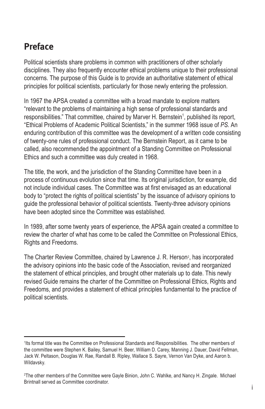### **Preface**

Political scientists share problems in common with practitioners of other scholarly disciplines. They also frequently encounter ethical problems unique to their professional concerns. The purpose of this Guide is to provide an authoritative statement of ethical principles for political scientists, particularly for those newly entering the profession.

In 1967 the APSA created a committee with a broad mandate to explore matters "relevant to the problems of maintaining a high sense of professional standards and responsibilities." That committee, chaired by Marver H. Bernstein<sup>1</sup>, published its report, "Ethical Problems of Academic Political Scientists," in the summer 1968 issue of *PS*. An enduring contribution of this committee was the development of a written code consisting of twenty-one rules of professional conduct. The Bernstein Report, as it came to be called, also recommended the appointment of a Standing Committee on Professional Ethics and such a committee was duly created in 1968.

The title, the work, and the jurisdiction of the Standing Committee have been in a process of continuous evolution since that time. Its original jurisdiction, for example, did not include individual cases. The Committee was at first envisaged as an educational body to "protect the rights of political scientists" by the issuance of advisory opinions to guide the professional behavior of political scientists. Twenty-three advisory opinions have been adopted since the Committee was established.

In 1989, after some twenty years of experience, the APSA again created a committee to review the charter of what has come to be called the Committee on Professional Ethics, Rights and Freedoms.

The Charter Review Committee, chaired by Lawrence J. R. Herson<sup>2</sup>, has incorporated the advisory opinions into the basic code of the Association, revised and reorganized the statement of ethical principles, and brought other materials up to date. This newly revised Guide remains the charter of the Committee on Professional Ethics, Rights and Freedoms, and provides a statement of ethical principles fundamental to the practice of political scientists.

<sup>1</sup> Its formal title was the Committee on Professional Standards and Responsibilities. The other members of the committee were Stephen K. Bailey, Samuel H. Beer, William D. Carey, Manning J. Dauer, David Fellman, Jack W. Peltason, Douglas W. Rae, Randall B. Ripley, Wallace S. Sayre, Vernon Van Dyke, and Aaron b. Wildavsky.

<sup>2</sup> The other members of the Committee were Gayle Binion, John C. Wahlke, and Nancy H. Zingale. Michael Brintnall served as Committee coordinator.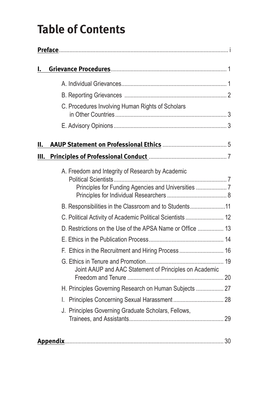# **Table of Contents**

| ı.   |                                                                                                                                                                                                                                                                                             |  |
|------|---------------------------------------------------------------------------------------------------------------------------------------------------------------------------------------------------------------------------------------------------------------------------------------------|--|
|      |                                                                                                                                                                                                                                                                                             |  |
|      |                                                                                                                                                                                                                                                                                             |  |
|      | C. Procedures Involving Human Rights of Scholars                                                                                                                                                                                                                                            |  |
|      |                                                                                                                                                                                                                                                                                             |  |
| Н.   |                                                                                                                                                                                                                                                                                             |  |
| III. |                                                                                                                                                                                                                                                                                             |  |
|      | A. Freedom and Integrity of Research by Academic<br>B. Responsibilities in the Classroom and to Students11<br>C. Political Activity of Academic Political Scientists  12<br>D. Restrictions on the Use of the APSA Name or Office  13<br>F. Ethics in the Recruitment and Hiring Process 16 |  |
|      | Joint AAUP and AAC Statement of Principles on Academic                                                                                                                                                                                                                                      |  |
|      | H. Principles Governing Research on Human Subjects  27                                                                                                                                                                                                                                      |  |
|      |                                                                                                                                                                                                                                                                                             |  |
|      | J. Principles Governing Graduate Scholars, Fellows,                                                                                                                                                                                                                                         |  |
|      |                                                                                                                                                                                                                                                                                             |  |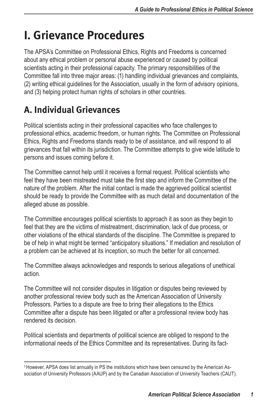# **I. Grievance Procedures**

The APSA's Committee on Professional Ethics, Rights and Freedoms is concerned about any ethical problem or personal abuse experienced or caused by political scientists acting in their professional capacity. The primary responsibilities of the Committee fall into three major areas: (1) handling individual grievances and complaints, (2) writing ethical guidelines for the Association, usually in the form of advisory opinions, and (3) helping protect human rights of scholars in other countries.

### **A. Individual Grievances**

Political scientists acting in their professional capacities who face challenges to professional ethics, academic freedom, or human rights. The Committee on Professional Ethics, Rights and Freedoms stands ready to be of assistance, and will respond to all grievances that fall within its jurisdiction. The Committee attempts to give wide latitude to persons and issues coming before it.

The Committee cannot help until it receives a formal request. Political scientists who feel they have been mistreated must take the first step and inform the Committee of the nature of the problem. After the initial contact is made the aggrieved political scientist should be ready to provide the Committee with as much detail and documentation of the alleged abuse as possible.

The Committee encourages political scientists to approach it as soon as they begin to feel that they are the victims of mistreatment, discrimination, lack of due process, or other violations of the ethical standards of the discipline. The Committee is prepared to be of help in what might be termed "anticipatory situations." If mediation and resolution of a problem can be achieved at its inception, so much the better for all concerned.

The Committee always acknowledges and responds to serious allegations of unethical action.

The Committee will not consider disputes in litigation or disputes being reviewed by another professional review body such as the American Association of University Professors. Parties to a dispute are free to bring their allegations to the Ethics Committee after a dispute has been litigated or after a professional review body has rendered its decision.

Political scientists and departments of political science are obliged to respond to the informational needs of the Ethics Committee and its representatives. During its fact-

<sup>&</sup>lt;sup>3</sup> However, APSA does list annually in PS the institutions which have been censured by the American Association of University Professors (AAUP) and by the Canadian Association of University Teachers (CAUT).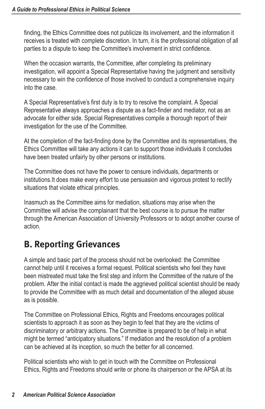finding, the Ethics Committee does not publicize its involvement, and the information it receives is treated with complete discretion. In turn, it is the professional obligation of all parties to a dispute to keep the Committee's involvement in strict confidence.

When the occasion warrants, the Committee, after completing its preliminary investigation, will appoint a Special Representative having the judgment and sensitivity necessary to win the confidence of those involved to conduct a comprehensive inquiry into the case.

A Special Representative's first duty is to try to resolve the complaint. A Special Representative always approaches a dispute as a fact-finder and mediator, not as an advocate for either side. Special Representatives compile a thorough report of their investigation for the use of the Committee.

At the completion of the fact-finding done by the Committee and its representatives, the Ethics Committee will take any actions it can to support those individuals it concludes have been treated unfairly by other persons or institutions.

The Committee does not have the power to censure individuals, departments or institutions.It does make every effort to use persuasion and vigorous protest to rectify situations that violate ethical principles.

Inasmuch as the Committee aims for mediation, situations may arise when the Committee will advise the complainant that the best course is to pursue the matter through the American Association of University Professors or to adopt another course of action.

### **B. Reporting Grievances**

A simple and basic part of the process should not be overlooked: the Committee cannot help until it receives a formal request. Political scientists who feel they have been mistreated must take the first step and inform the Committee of the nature of the problem. After the initial contact is made the aggrieved political scientist should be ready to provide the Committee with as much detail and documentation of the alleged abuse as is possible.

The Committee on Professional Ethics, Rights and Freedoms encourages political scientists to approach it as soon as they begin to feel that they are the victims of discriminatory or arbitrary actions. The Committee is prepared to be of help in what might be termed "anticipatory situations." If mediation and the resolution of a problem can be achieved at its inception, so much the better for all concerned.

Political scientists who wish to get in touch with the Committee on Professional Ethics, Rights and Freedoms should write or phone its chairperson or the APSA at its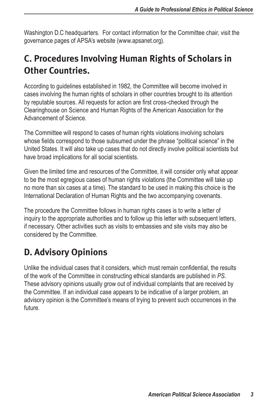Washington D.C headquarters. For contact information for the Committee chair, visit the governance pages of APSA's website (www.apsanet.org).

### **C. Procedures Involving Human Rights of Scholars in Other Countries.**

According to guidelines established in 1982, the Committee will become involved in cases involving the human rights of scholars in other countries brought to its attention by reputable sources. All requests for action are first cross-checked through the Clearinghouse on Science and Human Rights of the American Association for the Advancement of Science.

The Committee will respond to cases of human rights violations involving scholars whose fields correspond to those subsumed under the phrase "political science" in the United States. It will also take up cases that do not directly involve political scientists but have broad implications for all social scientists.

Given the limited time and resources of the Committee, it will consider only what appear to be the most egregious cases of human rights violations (the Committee will take up no more than six cases at a time). The standard to be used in making this choice is the International Declaration of Human Rights and the two accompanying covenants.

The procedure the Committee follows in human rights cases is to write a letter of inquiry to the appropriate authorities and to follow up this letter with subsequent letters, if necessary. Other activities such as visits to embassies and site visits may also be considered by the Committee.

### **D. Advisory Opinions**

Unlike the individual cases that it considers, which must remain confidential, the results of the work of the Committee in constructing ethical standards are published in *PS*. These advisory opinions usually grow out of individual complaints that are received by the Committee. If an individual case appears to be indicative of a larger problem, an advisory opinion is the Committee's means of trying to prevent such occurrences in the future.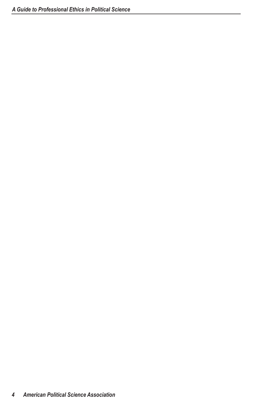*4 American Political Science Association*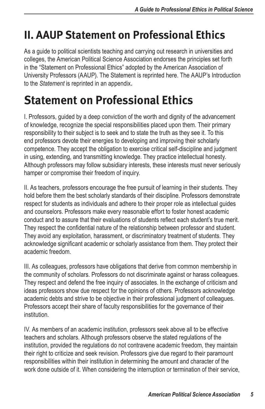## **II. AAUP Statement on Professional Ethics**

As a guide to political scientists teaching and carrying out research in universities and colleges, the American Political Science Association endorses the principles set forth in the "Statement on Professional Ethics" adopted by the American Association of University Professors (AAUP). The Statement is reprinted here. The AAUP's Introduction to the *Statement* is reprinted in an appendix.

# **Statement on Professional Ethics**

I. Professors, guided by a deep conviction of the worth and dignity of the advancement of knowledge, recognize the special responsibilities placed upon them. Their primary responsibility to their subject is to seek and to state the truth as they see it. To this end professors devote their energies to developing and improving their scholarly competence. They accept the obligation to exercise critical self-discipline and judgment in using, extending, and transmitting knowledge. They practice intellectual honesty. Although professors may follow subsidiary interests, these interests must never seriously hamper or compromise their freedom of inquiry.

II. As teachers, professors encourage the free pursuit of learning in their students. They hold before them the best scholarly standards of their discipline. Professors demonstrate respect for students as individuals and adhere to their proper role as intellectual guides and counselors. Professors make every reasonable effort to foster honest academic conduct and to assure that their evaluations of students reflect each student's true merit. They respect the confidential nature of the relationship between professor and student. They avoid any exploitation, harassment, or discriminatory treatment of students. They acknowledge significant academic or scholarly assistance from them. They protect their academic freedom.

III. As colleagues, professors have obligations that derive from common membership in the community of scholars. Professors do not discriminate against or harass colleagues. They respect and defend the free inquiry of associates. In the exchange of criticism and ideas professors show due respect for the opinions of others. Professors acknowledge academic debts and strive to be objective in their professional judgment of colleagues. Professors accept their share of faculty responsibilities for the governance of their institution.

IV. As members of an academic institution, professors seek above all to be effective teachers and scholars. Although professors observe the stated regulations of the institution, provided the regulations do not contravene academic freedom, they maintain their right to criticize and seek revision. Professors give due regard to their paramount responsibilities within their institution in determining the amount and character of the work done outside of it. When considering the interruption or termination of their service,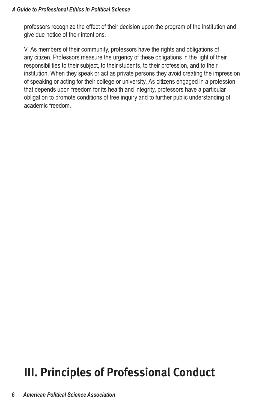professors recognize the effect of their decision upon the program of the institution and give due notice of their intentions.

V. As members of their community, professors have the rights and obligations of any citizen. Professors measure the urgency of these obligations in the light of their responsibilities to their subject, to their students, to their profession, and to their institution. When they speak or act as private persons they avoid creating the impression of speaking or acting for their college or university. As citizens engaged in a profession that depends upon freedom for its health and integrity, professors have a particular obligation to promote conditions of free inquiry and to further public understanding of academic freedom.

# **III. Principles of Professional Conduct**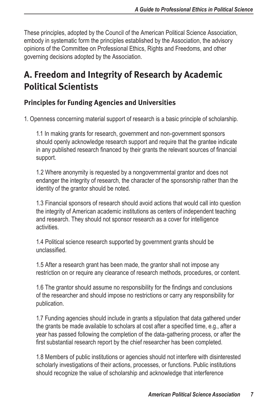These principles, adopted by the Council of the American Political Science Association, embody in systematic form the principles established by the Association, the advisory opinions of the Committee on Professional Ethics, Rights and Freedoms, and other governing decisions adopted by the Association.

### **A. Freedom and Integrity of Research by Academic Political Scientists**

#### **Principles for Funding Agencies and Universities**

1. Openness concerning material support of research is a basic principle of scholarship.

1.1 In making grants for research, government and non-government sponsors should openly acknowledge research support and require that the grantee indicate in any published research financed by their grants the relevant sources of financial support.

1.2 Where anonymity is requested by a nongovernmental grantor and does not endanger the integrity of research, the character of the sponsorship rather than the identity of the grantor should be noted.

1.3 Financial sponsors of research should avoid actions that would call into question the integrity of American academic institutions as centers of independent teaching and research. They should not sponsor research as a cover for intelligence activities.

1.4 Political science research supported by government grants should be unclassified.

1.5 After a research grant has been made, the grantor shall not impose any restriction on or require any clearance of research methods, procedures, or content.

1.6 The grantor should assume no responsibility for the findings and conclusions of the researcher and should impose no restrictions or carry any responsibility for publication.

1.7 Funding agencies should include in grants a stipulation that data gathered under the grants be made available to scholars at cost after a specified time, e.g., after a year has passed following the completion of the data-gathering process, or after the first substantial research report by the chief researcher has been completed.

1.8 Members of public institutions or agencies should not interfere with disinterested scholarly investigations of their actions, processes, or functions. Public institutions should recognize the value of scholarship and acknowledge that interference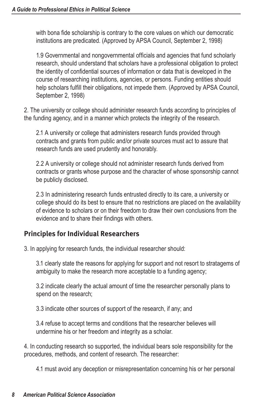with bona fide scholarship is contrary to the core values on which our democratic institutions are predicated. (Approved by APSA Council, September 2, 1998)

1.9 Governmental and nongovernmental officials and agencies that fund scholarly research, should understand that scholars have a professional obligation to protect the identity of confidential sources of information or data that is developed in the course of researching institutions, agencies, or persons. Funding entities should help scholars fulfill their obligations, not impede them. (Approved by APSA Council, September 2, 1998)

2. The university or college should administer research funds according to principles of the funding agency, and in a manner which protects the integrity of the research.

2.1 A university or college that administers research funds provided through contracts and grants from public and/or private sources must act to assure that research funds are used prudently and honorably.

2.2 A university or college should not administer research funds derived from contracts or grants whose purpose and the character of whose sponsorship cannot be publicly disclosed.

2.3 In administering research funds entrusted directly to its care, a university or college should do its best to ensure that no restrictions are placed on the availability of evidence to scholars or on their freedom to draw their own conclusions from the evidence and to share their findings with others.

#### **Principles for Individual Researchers**

3. In applying for research funds, the individual researcher should:

3.1 clearly state the reasons for applying for support and not resort to stratagems of ambiguity to make the research more acceptable to a funding agency;

3.2 indicate clearly the actual amount of time the researcher personally plans to spend on the research;

3.3 indicate other sources of support of the research, if any; and

3.4 refuse to accept terms and conditions that the researcher believes will undermine his or her freedom and integrity as a scholar.

4. In conducting research so supported, the individual bears sole responsibility for the procedures, methods, and content of research. The researcher:

4.1 must avoid any deception or misrepresentation concerning his or her personal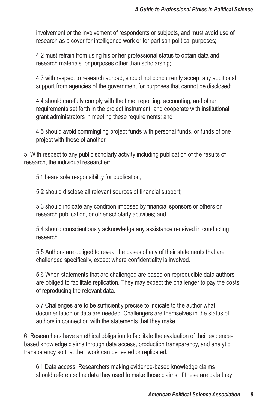involvement or the involvement of respondents or subjects, and must avoid use of research as a cover for intelligence work or for partisan political purposes;

4.2 must refrain from using his or her professional status to obtain data and research materials for purposes other than scholarship;

4.3 with respect to research abroad, should not concurrently accept any additional support from agencies of the government for purposes that cannot be disclosed;

4.4 should carefully comply with the time, reporting, accounting, and other requirements set forth in the project instrument, and cooperate with institutional grant administrators in meeting these requirements; and

4.5 should avoid commingling project funds with personal funds, or funds of one project with those of another.

5. With respect to any public scholarly activity including publication of the results of research, the individual researcher:

5.1 bears sole responsibility for publication;

5.2 should disclose all relevant sources of financial support;

5.3 should indicate any condition imposed by financial sponsors or others on research publication, or other scholarly activities; and

5.4 should conscientiously acknowledge any assistance received in conducting research.

5.5 Authors are obliged to reveal the bases of any of their statements that are challenged specifically, except where confidentiality is involved.

5.6 When statements that are challenged are based on reproducible data authors are obliged to facilitate replication. They may expect the challenger to pay the costs of reproducing the relevant data.

5.7 Challenges are to be sufficiently precise to indicate to the author what documentation or data are needed. Challengers are themselves in the status of authors in connection with the statements that they make.

6. Researchers have an ethical obligation to facilitate the evaluation of their evidencebased knowledge claims through data access, production transparency, and analytic transparency so that their work can be tested or replicated.

6.1 Data access: Researchers making evidence-based knowledge claims should reference the data they used to make those claims. If these are data they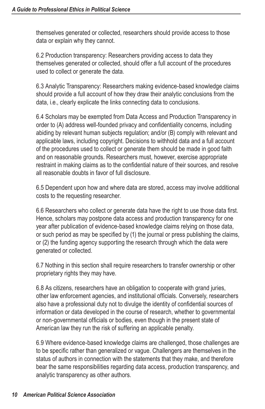themselves generated or collected, researchers should provide access to those data or explain why they cannot.

6.2 Production transparency: Researchers providing access to data they themselves generated or collected, should offer a full account of the procedures used to collect or generate the data.

6.3 Analytic Transparency: Researchers making evidence-based knowledge claims should provide a full account of how they draw their analytic conclusions from the data, i.e., clearly explicate the links connecting data to conclusions.

6.4 Scholars may be exempted from Data Access and Production Transparency in order to (A) address well-founded privacy and confidentiality concerns, including abiding by relevant human subjects regulation; and/or (B) comply with relevant and applicable laws, including copyright. Decisions to withhold data and a full account of the procedures used to collect or generate them should be made in good faith and on reasonable grounds. Researchers must, however, exercise appropriate restraint in making claims as to the confidential nature of their sources, and resolve all reasonable doubts in favor of full disclosure.

6.5 Dependent upon how and where data are stored, access may involve additional costs to the requesting researcher.

6.6 Researchers who collect or generate data have the right to use those data first. Hence, scholars may postpone data access and production transparency for one year after publication of evidence-based knowledge claims relying on those data, or such period as may be specified by (1) the journal or press publishing the claims, or (2) the funding agency supporting the research through which the data were generated or collected.

6.7 Nothing in this section shall require researchers to transfer ownership or other proprietary rights they may have.

6.8 As citizens, researchers have an obligation to cooperate with grand juries, other law enforcement agencies, and institutional officials. Conversely, researchers also have a professional duty not to divulge the identity of confidential sources of information or data developed in the course of research, whether to governmental or non-governmental officials or bodies, even though in the present state of American law they run the risk of suffering an applicable penalty.

6.9 Where evidence-based knowledge claims are challenged, those challenges are to be specific rather than generalized or vague. Challengers are themselves in the status of authors in connection with the statements that they make, and therefore bear the same responsibilities regarding data access, production transparency, and analytic transparency as other authors.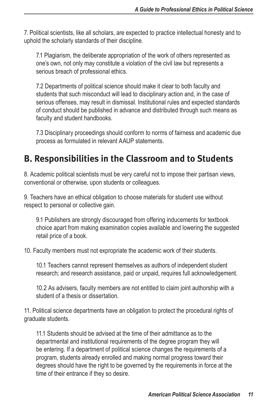7. Political scientists, like all scholars, are expected to practice intellectual honesty and to uphold the scholarly standards of their discipline.

7.1 Plagiarism, the deliberate appropriation of the work of others represented as one's own, not only may constitute a violation of the civil law but represents a serious breach of professional ethics.

7.2 Departments of political science should make it clear to both faculty and students that such misconduct will lead to disciplinary action and, in the case of serious offenses, may result in dismissal. Institutional rules and expected standards of conduct should be published in advance and distributed through such means as faculty and student handbooks.

7.3 Disciplinary proceedings should conform to norms of fairness and academic due process as formulated in relevant AAUP statements.

### **B. Responsibilities in the Classroom and to Students**

8. Academic political scientists must be very careful not to impose their partisan views, conventional or otherwise, upon students or colleagues.

9. Teachers have an ethical obligation to choose materials for student use without respect to personal or collective gain.

9.1 Publishers are strongly discouraged from offering inducements for textbook choice apart from making examination copies available and lowering the suggested retail price of a book.

10. Faculty members must not expropriate the academic work of their students.

10.1 Teachers cannot represent themselves as authors of independent student research; and research assistance, paid or unpaid, requires full acknowledgement.

10.2 As advisers, faculty members are not entitled to claim joint authorship with a student of a thesis or dissertation.

11. Political science departments have an obligation to protect the procedural rights of graduate students.

11.1 Students should be advised at the time of their admittance as to the departmental and institutional requirements of the degree program they will be entering. If a department of political science changes the requirements of a program, students already enrolled and making normal progress toward their degrees should have the right to be governed by the requirements in force at the time of their entrance if they so desire.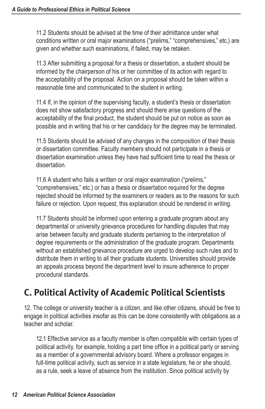11.2 Students should be advised at the time of their admittance under what conditions written or oral major examinations ("prelims," "comprehensives," etc.) are given and whether such examinations, if failed, may be retaken.

11.3 After submitting a proposal for a thesis or dissertation, a student should be informed by the chairperson of his or her committee of its action with regard to the acceptability of the proposal. Action on a proposal should be taken within a reasonable time and communicated to the student in writing.

11.4 If, in the opinion of the supervising faculty, a student's thesis or dissertation does not show satisfactory progress and should there arise questions of the acceptability of the final product, the student should be put on notice as soon as possible and in writing that his or her candidacy for the degree may be terminated.

11.5 Students should be advised of any changes in the composition of their thesis or dissertation committee. Faculty members should not participate in a thesis or dissertation examination unless they have had sufficient time to read the thesis or dissertation.

11.6 A student who fails a written or oral major examination ("prelims," "comprehensives," etc.) or has a thesis or dissertation required for the degree rejected should be informed by the examiners or readers as to the reasons for such failure or rejection. Upon request, this explanation should be rendered in writing.

11.7 Students should be informed upon entering a graduate program about any departmental or university grievance procedures for handling disputes that may arise between faculty and graduate students pertaining to the interpretation of degree requirements or the administration of the graduate program. Departments without an established grievance procedure are urged to develop such rules and to distribute them in writing to all their graduate students. Universities should provide an appeals process beyond the department level to insure adherence to proper procedural standards.

### **C. Political Activity of Academic Political Scientists**

12. The college or university teacher is a citizen, and like other citizens, should be free to engage in political activities insofar as this can be done consistently with obligations as a teacher and scholar.

12.1 Effective service as a faculty member is often compatible with certain types of political activity, for example, holding a part time office in a political party or serving as a member of a governmental advisory board. Where a professor engages in full-time political activity, such as service in a state legislature, he or she should, as a rule, seek a leave of absence from the institution. Since political activity by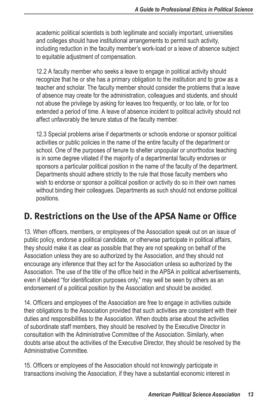academic political scientists is both legitimate and socially important, universities and colleges should have institutional arrangements to permit such activity, including reduction in the faculty member's work-load or a leave of absence subject to equitable adjustment of compensation.

12.2 A faculty member who seeks a leave to engage in political activity should recognize that he or she has a primary obligation to the institution and to grow as a teacher and scholar. The faculty member should consider the problems that a leave of absence may create for the administration, colleagues and students, and should not abuse the privilege by asking for leaves too frequently, or too late, or for too extended a period of time. A leave of absence incident to political activity should not affect unfavorably the tenure status of the faculty member.

12.3 Special problems arise if departments or schools endorse or sponsor political activities or public policies in the name of the entire faculty of the department or school. One of the purposes of tenure to shelter unpopular or unorthodox teaching is in some degree vitiated if the majority of a departmental faculty endorses or sponsors a particular political position in the name of the faculty of the department. Departments should adhere strictly to the rule that those faculty members who wish to endorse or sponsor a political position or activity do so in their own names without binding their colleagues. Departments as such should not endorse political positions.

### **D. Restrictions on the Use of the APSA Name or Office**

13. When officers, members, or employees of the Association speak out on an issue of public policy, endorse a political candidate, or otherwise participate in political affairs, they should make it as clear as possible that they are not speaking on behalf of the Association unless they are so authorized by the Association, and they should not encourage any inference that they act for the Association unless so authorized by the Association. The use of the title of the office held in the APSA in political advertisements, even if labeled "for identification purposes only," may well be seen by others as an endorsement of a political position by the Association and should be avoided.

14. Officers and employees of the Association are free to engage in activities outside their obligations to the Association provided that such activities are consistent with their duties and responsibilities to the Association. When doubts arise about the activities of subordinate staff members, they should be resolved by the Executive Director in consultation with the Administrative Committee of the Association. Similarly, when doubts arise about the activities of the Executive Director, they should be resolved by the Administrative Committee.

15. Officers or employees of the Association should not knowingly participate in transactions involving the Association, if they have a substantial economic interest in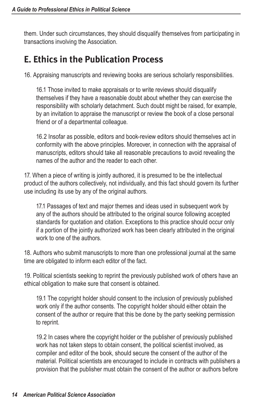them. Under such circumstances, they should disqualify themselves from participating in transactions involving the Association.

### **E. Ethics in the Publication Process**

16. Appraising manuscripts and reviewing books are serious scholarly responsibilities.

16.1 Those invited to make appraisals or to write reviews should disqualify themselves if they have a reasonable doubt about whether they can exercise the responsibility with scholarly detachment. Such doubt might be raised, for example, by an invitation to appraise the manuscript or review the book of a close personal friend or of a departmental colleague.

16.2 Insofar as possible, editors and book-review editors should themselves act in conformity with the above principles. Moreover, in connection with the appraisal of manuscripts, editors should take all reasonable precautions to avoid revealing the names of the author and the reader to each other.

17. When a piece of writing is jointly authored, it is presumed to be the intellectual product of the authors collectively, not individually, and this fact should govern its further use including its use by any of the original authors.

17.1 Passages of text and major themes and ideas used in subsequent work by any of the authors should be attributed to the original source following accepted standards for quotation and citation. Exceptions to this practice should occur only if a portion of the jointly authorized work has been clearly attributed in the original work to one of the authors.

18. Authors who submit manuscripts to more than one professional journal at the same time are obligated to inform each editor of the fact.

19. Political scientists seeking to reprint the previously published work of others have an ethical obligation to make sure that consent is obtained.

19.1 The copyright holder should consent to the inclusion of previously published work only if the author consents. The copyright holder should either obtain the consent of the author or require that this be done by the party seeking permission to reprint.

19.2 In cases where the copyright holder or the publisher of previously published work has not taken steps to obtain consent, the political scientist involved, as compiler and editor of the book, should secure the consent of the author of the material. Political scientists are encouraged to include in contracts with publishers a provision that the publisher must obtain the consent of the author or authors before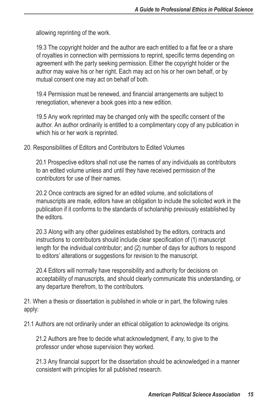allowing reprinting of the work.

19.3 The copyright holder and the author are each entitled to a flat fee or a share of royalties in connection with permissions to reprint, specific terms depending on agreement with the party seeking permission. Either the copyright holder or the author may waive his or her right. Each may act on his or her own behalf, or by mutual consent one may act on behalf of both.

19.4 Permission must be renewed, and financial arrangements are subject to renegotiation, whenever a book goes into a new edition.

19.5 Any work reprinted may be changed only with the specific consent of the author. An author ordinarily is entitled to a complimentary copy of any publication in which his or her work is reprinted.

20. Responsibilities of Editors and Contributors to Edited Volumes

20.1 Prospective editors shall not use the names of any individuals as contributors to an edited volume unless and until they have received permission of the contributors for use of their names.

20.2 Once contracts are signed for an edited volume, and solicitations of manuscripts are made, editors have an obligation to include the solicited work in the publication if it conforms to the standards of scholarship previously established by the editors.

20.3 Along with any other guidelines established by the editors, contracts and instructions to contributors should include clear specification of (1) manuscript length for the individual contributor; and (2) number of days for authors to respond to editors' alterations or suggestions for revision to the manuscript.

20.4 Editors will normally have responsibility and authority for decisions on acceptability of manuscripts, and should clearly communicate this understanding, or any departure therefrom, to the contributors.

21. When a thesis or dissertation is published in whole or in part, the following rules apply:

21.1 Authors are not ordinarily under an ethical obligation to acknowledge its origins.

21.2 Authors are free to decide what acknowledgment, if any, to give to the professor under whose supervision they worked.

21.3 Any financial support for the dissertation should be acknowledged in a manner consistent with principles for all published research.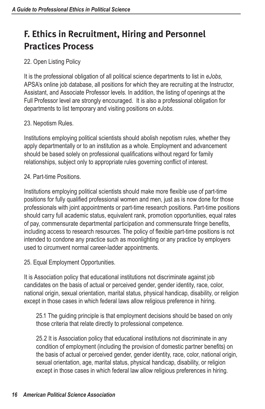### **F. Ethics in Recruitment, Hiring and Personnel Practices Process**

#### 22. Open Listing Policy

It is the professional obligation of all political science departments to list in *eJobs,*  APSA's online job database, all positions for which they are recruiting at the Instructor, Assistant, and Associate Professor levels. In addition, the listing of openings at the Full Professor level are strongly encouraged. It is also a professional obligation for departments to list temporary and visiting positions on *eJobs*.

#### 23. Nepotism Rules.

Institutions employing political scientists should abolish nepotism rules, whether they apply departmentally or to an institution as a whole. Employment and advancement should be based solely on professional qualifications without regard for family relationships, subject only to appropriate rules governing conflict of interest.

#### 24. Part-time Positions.

Institutions employing political scientists should make more flexible use of part-time positions for fully qualified professional women and men, just as is now done for those professionals with joint appointments or part-time research positions. Part-time positions should carry full academic status, equivalent rank, promotion opportunities, equal rates of pay, commensurate departmental participation and commensurate fringe benefits, including access to research resources. The policy of flexible part-time positions is not intended to condone any practice such as moonlighting or any practice by employers used to circumvent normal career-ladder appointments.

#### 25. Equal Employment Opportunities.

It is Association policy that educational institutions not discriminate against job candidates on the basis of actual or perceived gender, gender identity, race, color, national origin, sexual orientation, marital status, physical handicap, disability, or religion except in those cases in which federal laws allow religious preference in hiring.

25.1 The guiding principle is that employment decisions should be based on only those criteria that relate directly to professional competence.

25.2 It is Association policy that educational institutions not discriminate in any condition of employment (including the provision of domestic partner benefits) on the basis of actual or perceived gender, gender identity, race, color, national origin, sexual orientation, age, marital status, physical handicap, disability, or religion except in those cases in which federal law allow religious preferences in hiring.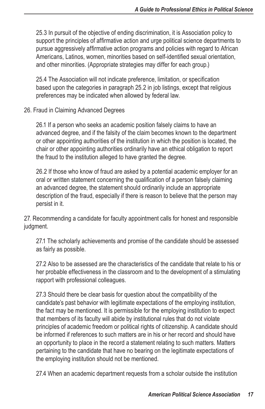25.3 In pursuit of the objective of ending discrimination, it is Association policy to support the principles of affirmative action and urge political science departments to pursue aggressively affirmative action programs and policies with regard to African Americans, Latinos, women, minorities based on self-identified sexual orientation, and other minorities. (Appropriate strategies may differ for each group.)

25.4 The Association will not indicate preference, limitation, or specification based upon the categories in paragraph 25.2 in job listings, except that religious preferences may be indicated when allowed by federal law.

#### 26. Fraud in Claiming Advanced Degrees

26.1 If a person who seeks an academic position falsely claims to have an advanced degree, and if the falsity of the claim becomes known to the department or other appointing authorities of the institution in which the position is located, the chair or other appointing authorities ordinarily have an ethical obligation to report the fraud to the institution alleged to have granted the degree.

26.2 If those who know of fraud are asked by a potential academic employer for an oral or written statement concerning the qualification of a person falsely claiming an advanced degree, the statement should ordinarily include an appropriate description of the fraud, especially if there is reason to believe that the person may persist in it.

27. Recommending a candidate for faculty appointment calls for honest and responsible judgment.

27.1 The scholarly achievements and promise of the candidate should be assessed as fairly as possible.

27.2 Also to be assessed are the characteristics of the candidate that relate to his or her probable effectiveness in the classroom and to the development of a stimulating rapport with professional colleagues.

27.3 Should there be clear basis for question about the compatibility of the candidate's past behavior with legitimate expectations of the employing institution, the fact may be mentioned. It is permissible for the employing institution to expect that members of its faculty will abide by institutional rules that do not violate principles of academic freedom or political rights of citizenship. A candidate should be informed if references to such matters are in his or her record and should have an opportunity to place in the record a statement relating to such matters. Matters pertaining to the candidate that have no bearing on the legitimate expectations of the employing institution should not be mentioned.

27.4 When an academic department requests from a scholar outside the institution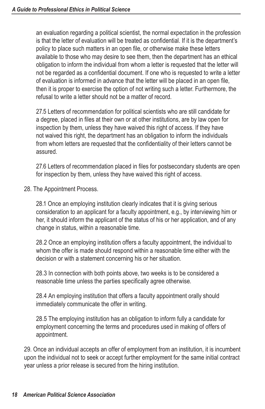an evaluation regarding a political scientist, the normal expectation in the profession is that the letter of evaluation will be treated as confidential. If it is the department's policy to place such matters in an open file, or otherwise make these letters available to those who may desire to see them, then the department has an ethical obligation to inform the individual from whom a letter is requested that the letter will not be regarded as a confidential document. If one who is requested to write a letter of evaluation is informed in advance that the letter will be placed in an open file, then it is proper to exercise the option of not writing such a letter. Furthermore, the refusal to write a letter should not be a matter of record.

27.5 Letters of recommendation for political scientists who are still candidate for a degree, placed in files at their own or at other institutions, are by law open for inspection by them, unless they have waived this right of access. If they have not waived this right, the department has an obligation to inform the individuals from whom letters are requested that the confidentiality of their letters cannot be assured.

27.6 Letters of recommendation placed in files for postsecondary students are open for inspection by them, unless they have waived this right of access.

28. The Appointment Process.

28.1 Once an employing institution clearly indicates that it is giving serious consideration to an applicant for a faculty appointment, e.g., by interviewing him or her, it should inform the applicant of the status of his or her application, and of any change in status, within a reasonable time.

28.2 Once an employing institution offers a faculty appointment, the individual to whom the offer is made should respond within a reasonable time either with the decision or with a statement concerning his or her situation.

28.3 In connection with both points above, two weeks is to be considered a reasonable time unless the parties specifically agree otherwise.

28.4 An employing institution that offers a faculty appointment orally should immediately communicate the offer in writing.

28.5 The employing institution has an obligation to inform fully a candidate for employment concerning the terms and procedures used in making of offers of appointment.

29. Once an individual accepts an offer of employment from an institution, it is incumbent upon the individual not to seek or accept further employment for the same initial contract year unless a prior release is secured from the hiring institution.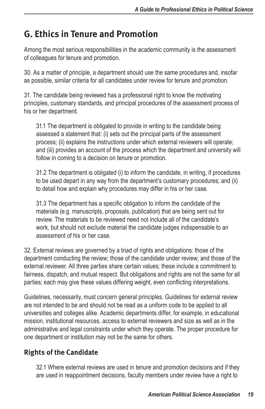### **G. Ethics in Tenure and Promotion**

Among the most serious responsibilities in the academic community is the assessment of colleagues for tenure and promotion.

30. As a matter of principle, a department should use the same procedures and, insofar as possible, similar criteria for all candidates under review for tenure and promotion.

31. The candidate being reviewed has a professional right to know the motivating principles, customary standards, and principal procedures of the assessment process of his or her department.

31.1 The department is obligated to provide in writing to the candidate being assessed a statement that: (i) sets out the principal parts of the assessment process; (ii) explains the instructions under which external reviewers will operate; and (iii) provides an account of the process which the department and university will follow in coming to a decision on tenure or promotion.

31.2 The department is obligated (i) to inform the candidate, in writing, if procedures to be used depart in any way from the department's customary procedures; and (ii) to detail how and explain why procedures may differ in his or her case.

31.3 The department has a specific obligation to inform the candidate of the materials (e.g. manuscripts, proposals, publication) that are being sent out for review. The materials to be reviewed need not include all of the candidate's work, but should not exclude material the candidate judges indispensable to an assessment of his or her case.

32. External reviews are governed by a triad of rights and obligations: those of the department conducting the review; those of the candidate under review; and those of the external reviewer. All three parties share certain values; these include a commitment to fairness, dispatch, and mutual respect. But obligations and rights are not the same for all parties; each may give these values differing weight, even conflicting interpretations.

Guidelines, necessarily, must concern general principles. Guidelines for external review are not intended to be and should not be read as a uniform code to be applied to all universities and colleges alike. Academic departments differ, for example, in educational mission, institutional resources, access to external reviewers and size as well as in the administrative and legal constraints under which they operate. The proper procedure for one department or institution may not be the same for others.

#### **Rights of the Candidate**

32.1 Where external reviews are used in tenure and promotion decisions and if they are used in reappointment decisions, faculty members under review have a right to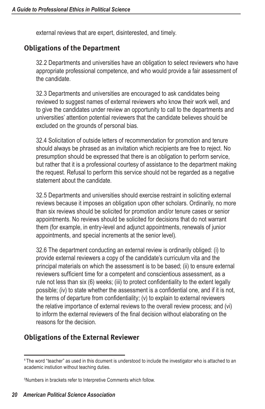external reviews that are expert, disinterested, and timely.

#### **Obligations of the Department**

32.2 Departments and universities have an obligation to select reviewers who have appropriate professional competence, and who would provide a fair assessment of the candidate.

32.3 Departments and universities are encouraged to ask candidates being reviewed to suggest names of external reviewers who know their work well, and to give the candidates under review an opportunity to call to the departments and universities' attention potential reviewers that the candidate believes should be excluded on the grounds of personal bias.

32.4 Solicitation of outside letters of recommendation for promotion and tenure should always be phrased as an invitation which recipients are free to reject. No presumption should be expressed that there is an obligation to perform service, but rather that it is a professional courtesy of assistance to the department making the request. Refusal to perform this service should not be regarded as a negative statement about the candidate.

32.5 Departments and universities should exercise restraint in soliciting external reviews because it imposes an obligation upon other scholars. Ordinarily, no more than six reviews should be solicited for promotion and/or tenure cases or senior appointments. No reviews should be solicited for decisions that do not warrant them (for example, in entry-level and adjunct appointments, renewals of junior appointments, and special increments at the senior level).

32.6 The department conducting an external review is ordinarily obliged: (i) to provide external reviewers a copy of the candidate's curriculum vita and the principal materials on which the assessment is to be based; (ii) to ensure external reviewers sufficient time for a competent and conscientious assessment, as a rule not less than six (6) weeks; (iii) to protect confidentiality to the extent legally possible; (iv) to state whether the assessment is a confidential one, and if it is not, the terms of departure from confidentiality; (v) to explain to external reviewers the relative importance of external reviews to the overall review process; and (vi) to inform the external reviewers of the final decision without elaborating on the reasons for the decision.

#### **Obligations of the External Reviewer**

<sup>4</sup> The word "teacher" as used in this dcument is understood to include the investigator who is attached to an academic instiution without teaching duties.

<sup>5</sup> Numbers in brackets refer to Interpretive Comments which follow.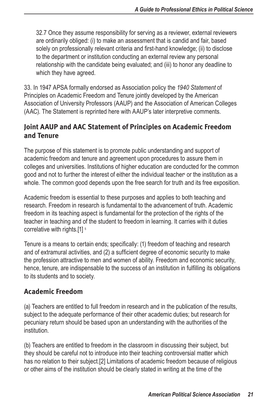32.7 Once they assume responsibility for serving as a reviewer, external reviewers are ordinarily obliged: (i) to make an assessment that is candid and fair, based solely on professionally relevant criteria and first-hand knowledge; (ii) to disclose to the department or institution conducting an external review any personal relationship with the candidate being evaluated; and (iii) to honor any deadline to which they have agreed.

33. In 1947 APSA formally endorsed as Association policy the *1940 Statement* of Principles on Academic Freedom and Tenure jointly developed by the American Association of University Professors (AAUP) and the Association of American Colleges (AAC). The Statement is reprinted here with AAUP's later interpretive comments.

#### **Joint AAUP and AAC Statement of Principles on Academic Freedom and Tenure**

The purpose of this statement is to promote public understanding and support of academic freedom and tenure and agreement upon procedures to assure them in colleges and universities. Institutions of higher education are conducted for the common good and not to further the interest of either the individual teacher<sup>4</sup> or the institution as a whole. The common good depends upon the free search for truth and its free exposition.

Academic freedom is essential to these purposes and applies to both teaching and research. Freedom in research is fundamental to the advancement of truth. Academic freedom in its teaching aspect is fundamental for the protection of the rights of the teacher in teaching and of the student to freedom in learning. It carries with it duties correlative with rights.<sup>[1] 5</sup>

Tenure is a means to certain ends; specifically: (1) freedom of teaching and research and of extramural activities, and (2) a sufficient degree of economic security to make the profession attractive to men and women of ability. Freedom and economic security, hence, tenure, are indispensable to the success of an institution in fulfilling its obligations to its students and to society.

#### **Academic Freedom**

(a) Teachers are entitled to full freedom in research and in the publication of the results, subject to the adequate performance of their other academic duties; but research for pecuniary return should be based upon an understanding with the authorities of the institution.

(b) Teachers are entitled to freedom in the classroom in discussing their subject, but they should be careful not to introduce into their teaching controversial matter which has no relation to their subject.[2] Limitations of academic freedom because of religious or other aims of the institution should be clearly stated in writing at the time of the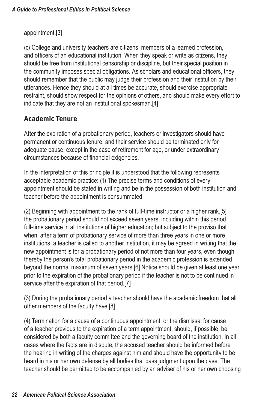#### appointment.[3]

(c) College and university teachers are citizens, members of a learned profession, and officers of an educational institution. When they speak or write as citizens, they should be free from institutional censorship or discipline, but their special position in the community imposes special obligations. As scholars and educational officers, they should remember that the public may judge their profession and their institution by their utterances. Hence they should at all times be accurate, should exercise appropriate restraint, should show respect for the opinions of others, and should make every effort to indicate that they are not an institutional spokesman.[4]

#### **Academic Tenure**

After the expiration of a probationary period, teachers or investigators should have permanent or continuous tenure, and their service should be terminated only for adequate cause, except in the case of retirement for age, or under extraordinary circumstances because of financial exigencies.

In the interpretation of this principle it is understood that the following represents acceptable academic practice: (1) The precise terms and conditions of every appointment should be stated in writing and be in the possession of both institution and teacher before the appointment is consummated.

(2) Beginning with appointment to the rank of full-time instructor or a higher rank,[5] the probationary period should not exceed seven years, including within this period full-time service in all institutions of higher education; but subject to the proviso that when, after a term of probationary service of more than three years in one or more institutions, a teacher is called to another institution, it may be agreed in writing that the new appointment is for a probationary period of not more than four years, even though thereby the person's total probationary period in the academic profession is extended beyond the normal maximum of seven years.[6] Notice should be given at least one year prior to the expiration of the probationary period if the teacher is not to be continued in service after the expiration of that period.[7]

(3) During the probationary period a teacher should have the academic freedom that all other members of the faculty have.[8]

(4) Termination for a cause of a continuous appointment, or the dismissal for cause of a teacher previous to the expiration of a term appointment, should, if possible, be considered by both a faculty committee and the governing board of the institution. In all cases where the facts are in dispute, the accused teacher should be informed before the hearing in writing of the charges against him and should have the opportunity to be heard in his or her own defense by all bodies that pass judgment upon the case. The teacher should be permitted to be accompanied by an adviser of his or her own choosing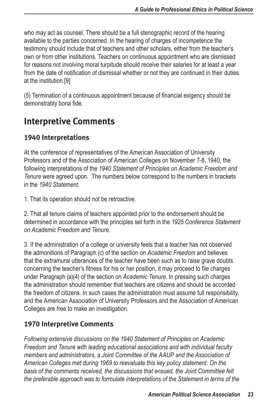who may act as counsel. There should be a full stenographic record of the hearing available to the parties concerned. In the hearing of charges of incompetence the testimony should include that of teachers and other scholars, either from the teacher's own or from other institutions. Teachers on continuous appointment who are dismissed for reasons not involving moral turpitude should receive their salaries for at least a year from the date of notification of dismissal whether or not they are continued in their duties at the institution.[9]

(5) Termination of a continuous appointment because of financial exigency should be demonstrably bona fide.

### **Interpretive Comments**

#### **1940 Interpretations**

At the conference of representatives of the American Association of University Professors and of the Association of American Colleges on November 7-8, 1940, the following interpretations of the *1940 Statement of Principles on Academic Freedom and Tenure* were agreed upon. The numbers below correspond to the numbers in brackets in the *1940 Statement*.

1. That its operation should not be retroactive.

2. That all tenure claims of teachers appointed prior to the endorsement should be determined in accordance with the principles set forth in the *1925 Conference Statement on Academic Freedom and Tenure*.

3. If the administration of a college or university feels that a teacher has not observed the admonitions of Paragraph (c) of the section on *Academic Freedom* and believes that the extramural utterances of the teacher have been such as to raise grave doubts concerning the teacher's fitness for his or her position, it may proceed to file charges under Paragraph (a)(4) of the section on *Academic Tenure*. In pressing such charges the administration should remember that teachers are citizens and should be accorded the freedom of citizens. In such cases the administration must assume full responsibility, and the American Association of University Professors and the Association of American Colleges are free to make an investigation.

#### **1970 Interpretive Comments**

*Following extensive discussions on the 1940 Statement of Principles on Academic Freedom and Tenure with leading educational associations and with individual faculty members and administrators, a Joint Committee of the AAUP and the Association of American Colleges met during 1969 to reevaluate this key policy statement. On the basis of the comments received, the discussions that ensued, the Joint Committee felt the preferable approach was to formulate interpretations of the Statement in terms of the*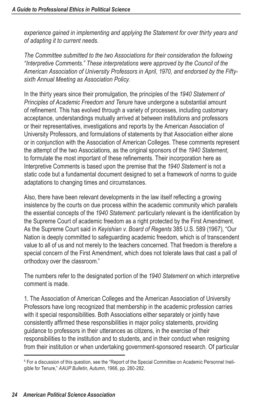*experience gained in implementing and applying the Statement for over thirty years and of adapting it to current needs.* 

*The Committee submitted to the two Associations for their consideration the following "Interpretive Comments." These interpretations were approved by the Council of the American Association of University Professors in April, 1970, and endorsed by the Fiftysixth Annual Meeting as Association Policy.*

In the thirty years since their promulgation, the principles of the *1940 Statement of Principles of Academic Freedom and Tenure* have undergone a substantial amount of refinement. This has evolved through a variety of processes, including customary acceptance, understandings mutually arrived at between institutions and professors or their representatives, investigations and reports by the American Association of University Professors, and formulations of statements by that Association either alone or in conjunction with the Association of American Colleges. These comments represent the attempt of the two Associations, as the original sponsors of the *1940 Statement*, to formulate the most important of these refinements. Their incorporation here as Interpretive Comments is based upon the premise that the *1940 Statement* is not a static code but a fundamental document designed to set a framework of norms to guide adaptations to changing times and circumstances.

Also, there have been relevant developments in the law itself reflecting a growing insistence by the courts on due process within the academic community which parallels the essential concepts of the *1940 Statement*: particularly relevant is the identification by the Supreme Court of academic freedom as a right protected by the First Amendment. As the Supreme Court said in *Keyishian v. Board of Regents* 385 U.S. 589 (1967), "Our Nation is deeply committed to safeguarding academic freedom, which is of transcendent value to all of us and not merely to the teachers concerned. That freedom is therefore a special concern of the First Amendment, which does not tolerate laws that cast a pall of orthodoxy over the classroom."

The numbers refer to the designated portion of the *1940 Statement* on which interpretive comment is made.

1. The Association of American Colleges and the American Association of University Professors have long recognized that membership in the academic profession carries with it special responsibilities. Both Associations either separately or jointly have consistently affirmed these responsibilities in major policy statements, providing guidance to professors in their utterances as citizens, in the exercise of their responsibilities to the institution and to students, and in their conduct when resigning from their institution or when undertaking government-sponsored research. Of particular

<sup>6</sup> For a discussion of this question, see the "Report of the Special Committee on Academic Personnel Ineligible for Tenure," *AAUP Bulletin*, Autumn, 1966, pp. 280-282.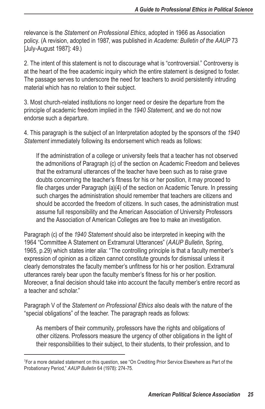relevance is the *Statement on Professional Ethics*, adopted in 1966 as Association policy. (A revision, adopted in 1987, was published in *Academe: Bulletin of the AAUP* 73 [July-August 1987]: 49.)

2. The intent of this statement is not to discourage what is "controversial." Controversy is at the heart of the free academic inquiry which the entire statement is designed to foster. The passage serves to underscore the need for teachers to avoid persistently intruding material which has no relation to their subject.

3. Most church-related institutions no longer need or desire the departure from the principle of academic freedom implied in the *1940 Statement*, and we do not now endorse such a departure.

4. This paragraph is the subject of an Interpretation adopted by the sponsors of the *1940 Statement* immediately following its endorsement which reads as follows:

If the administration of a college or university feels that a teacher has not observed the admonitions of Paragraph (c) of the section on Academic Freedom and believes that the extramural utterances of the teacher have been such as to raise grave doubts concerning the teacher's fitness for his or her position, it may proceed to file charges under Paragraph (a)(4) of the section on Academic Tenure. In pressing such charges the administration should remember that teachers are citizens and should be accorded the freedom of citizens. In such cases, the administration must assume full responsibility and the American Association of University Professors and the Association of American Colleges are free to make an investigation.

Paragraph (c) of the *1940 Statement* should also be interpreted in keeping with the 1964 "Committee A Statement on Extramural Utterances" (*AAUP Bulletin*, Spring, 1965, p.29) which states inter alia: "The controlling principle is that a faculty member's expression of opinion as a citizen cannot constitute grounds for dismissal unless it clearly demonstrates the faculty member's unfitness for his or her position. Extramural utterances rarely bear upon the faculty member's fitness for his or her position. Moreover, a final decision should take into account the faculty member's entire record as a teacher and scholar"

Paragraph V of the *Statement on Professional Ethics* also deals with the nature of the "special obligations" of the teacher. The paragraph reads as follows:

As members of their community, professors have the rights and obligations of other citizens. Professors measure the urgency of other obligations in the light of their responsibilities to their subject, to their students, to their profession, and to

<sup>7</sup> For a more detailed statement on this question, see "On Crediting Prior Service Elsewhere as Part of the Probationary Period," *AAUP Bulletin* 64 (1978): 274-75.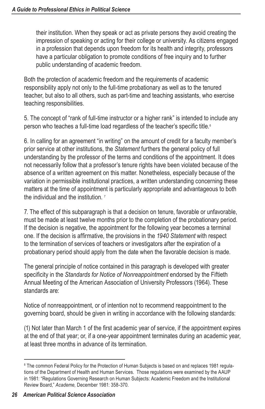their institution. When they speak or act as private persons they avoid creating the impression of speaking or acting for their college or university. As citizens engaged in a profession that depends upon freedom for its health and integrity, professors have a particular obligation to promote conditions of free inquiry and to further public understanding of academic freedom.

Both the protection of academic freedom and the requirements of academic responsibility apply not only to the full-time probationary as well as to the tenured teacher, but also to all others, such as part-time and teaching assistants, who exercise teaching responsibilities.

5. The concept of "rank of full-time instructor or a higher rank" is intended to include any person who teaches a full-time load regardless of the teacher's specific title.<sup>6</sup>

6. In calling for an agreement "in writing" on the amount of credit for a faculty member's prior service at other institutions, the *Statement* furthers the general policy of full understanding by the professor of the terms and conditions of the appointment. It does not necessarily follow that a professor's tenure rights have been violated because of the absence of a written agreement on this matter. Nonetheless, especially because of the variation in permissible institutional practices, a written understanding concerning these matters at the time of appointment is particularly appropriate and advantageous to both the individual and the institution.<sup>7</sup>

7. The effect of this subparagraph is that a decision on tenure, favorable or unfavorable, must be made at least twelve months prior to the completion of the probationary period. If the decision is negative, the appointment for the following year becomes a terminal one. If the decision is affirmative, the provisions in the *1940 Statement* with respect to the termination of services of teachers or investigators after the expiration of a probationary period should apply from the date when the favorable decision is made.

The general principle of notice contained in this paragraph is developed with greater specificity in the *Standards for Notice of Nonreappointment* endorsed by the Fiftieth Annual Meeting of the American Association of University Professors (1964). These standards are:

Notice of nonreappointment, or of intention not to recommend reappointment to the governing board, should be given in writing in accordance with the following standards:

(1) Not later than March 1 of the first academic year of service, if the appointment expires at the end of that year; or, if a one-year appointment terminates during an academic year, at least three months in advance of its termination.

 $^{\rm 8}$  The common Federal Policy for the Protection of Human Subjects is based on and replaces 1981 regulations of the Department of Health and Human Services. Those regulations were examined by the AAUP in 1981: "Regulations Governing Research on Human Subjects: Academic Freedom and the Institutional Review Board," *Academe,* December 1981: 358-370.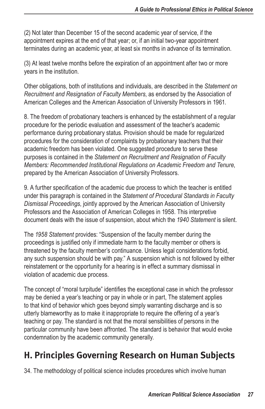(2) Not later than December 15 of the second academic year of service, if the appointment expires at the end of that year; or, if an initial two-year appointment terminates during an academic year, at least six months in advance of its termination.

(3) At least twelve months before the expiration of an appointment after two or more years in the institution.

Other obligations, both of institutions and individuals, are described in the *Statement on Recruitment and Resignation of Faculty Members*, as endorsed by the Association of American Colleges and the American Association of University Professors in 1961.

8. The freedom of probationary teachers is enhanced by the establishment of a regular procedure for the periodic evaluation and assessment of the teacher's academic performance during probationary status. Provision should be made for regularized procedures for the consideration of complaints by probationary teachers that their academic freedom has been violated. One suggested procedure to serve these purposes is contained in the *Statement on Recruitment and Resignation of Faculty Members: Recommended Institutional Regulations on Academic Freedom and Tenure*, prepared by the American Association of University Professors.

9. A further specification of the academic due process to which the teacher is entitled under this paragraph is contained in the *Statement of Procedural Standards in Faculty Dismissal Proceedings*, jointly approved by the American Association of University Professors and the Association of American Colleges in 1958. This interpretive document deals with the issue of suspension, about which the *1940 Statement* is silent.

The *1958 Statement* provides: "Suspension of the faculty member during the proceedings is justified only if immediate harm to the faculty member or others is threatened by the faculty member's continuance. Unless legal considerations forbid, any such suspension should be with pay." A suspension which is not followed by either reinstatement or the opportunity for a hearing is in effect a summary dismissal in violation of academic due process.

The concept of "moral turpitude" identifies the exceptional case in which the professor may be denied a year's teaching or pay in whole or in part, The statement applies to that kind of behavior which goes beyond simply warranting discharge and is so utterly blameworthy as to make it inappropriate to require the offering of a year's teaching or pay. The standard is not that the moral sensibilities of persons in the particular community have been affronted. The standard is behavior that would evoke condemnation by the academic community generally.

### **H. Principles Governing Research on Human Subjects**

34. The methodology of political science includes procedures which involve human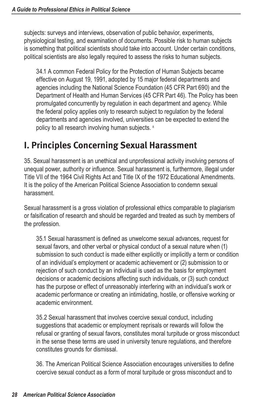subjects: surveys and interviews, observation of public behavior, experiments, physiological testing, and examination of documents. Possible risk to human subjects is something that political scientists should take into account. Under certain conditions, political scientists are also legally required to assess the risks to human subjects.

34.1 A common Federal Policy for the Protection of Human Subjects became effective on August 19, 1991, adopted by 15 major federal departments and agencies including the National Science Foundation (45 CFR Part 690) and the Department of Health and Human Services (45 CFR Part 46). The Policy has been promulgated concurrently by regulation in each department and agency. While the federal policy applies only to research subject to regulation by the federal departments and agencies involved, universities can be expected to extend the policy to all research involving human subjects. <sup>8</sup>

### **I. Principles Concerning Sexual Harassment**

35. Sexual harassment is an unethical and unprofessional activity involving persons of unequal power, authority or influence. Sexual harassment is, furthermore, illegal under Title VII of the 1964 Civil Rights Act and Title IX of the 1972 Educational Amendments. It is the policy of the American Political Science Association to condemn sexual harassment.

Sexual harassment is a gross violation of professional ethics comparable to plagiarism or falsification of research and should be regarded and treated as such by members of the profession.

35.1 Sexual harassment is defined as unwelcome sexual advances, request for sexual favors, and other verbal or physical conduct of a sexual nature when (1) submission to such conduct is made either explicitly or implicitly a term or condition of an individual's employment or academic achievement or (2) submission to or rejection of such conduct by an individual is used as the basis for employment decisions or academic decisions affecting such individuals, or (3) such conduct has the purpose or effect of unreasonably interfering with an individual's work or academic performance or creating an intimidating, hostile, or offensive working or academic environment.

35.2 Sexual harassment that involves coercive sexual conduct, including suggestions that academic or employment reprisals or rewards will follow the refusal or granting of sexual favors, constitutes moral turpitude or gross misconduct in the sense these terms are used in university tenure regulations, and therefore constitutes grounds for dismissal.

36. The American Political Science Association encourages universities to define coercive sexual conduct as a form of moral turpitude or gross misconduct and to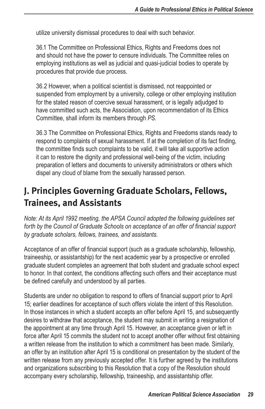utilize university dismissal procedures to deal with such behavior.

36.1 The Committee on Professional Ethics, Rights and Freedoms does not and should not have the power to censure individuals. The Committee relies on employing institutions as well as judicial and quasi-judicial bodies to operate by procedures that provide due process.

36.2 However, when a political scientist is dismissed, not reappointed or suspended from employment by a university, college or other employing institution for the stated reason of coercive sexual harassment, or is legally adjudged to have committed such acts, the Association, upon recommendation of its Ethics Committee, shall inform its members through *PS*.

36.3 The Committee on Professional Ethics, Rights and Freedoms stands ready to respond to complaints of sexual harassment. If at the completion of its fact finding, the committee finds such complaints to be valid, it will take all supportive action it can to restore the dignity and professional well-being of the victim, including preparation of letters and documents to university administrators or others which dispel any cloud of blame from the sexually harassed person.

### **J. Principles Governing Graduate Scholars, Fellows, Trainees, and Assistants**

*Note: At its April 1992 meeting, the APSA Council adopted the following guidelines set forth by the Council of Graduate Schools on acceptance of an offer of financial support by graduate scholars, fellows, trainees, and assistants.* 

Acceptance of an offer of financial support (such as a graduate scholarship, fellowship, traineeship, or assistantship) for the next academic year by a prospective or enrolled graduate student completes an agreement that both student and graduate school expect to honor. In that context, the conditions affecting such offers and their acceptance must be defined carefully and understood by all parties.

Students are under no obligation to respond to offers of financial support prior to April 15; earlier deadlines for acceptance of such offers violate the intent of this Resolution. In those instances in which a student accepts an offer before April 15, and subsequently desires to withdraw that acceptance, the student may submit in writing a resignation of the appointment at any time through April 15. However, an acceptance given or left in force after April 15 commits the student not to accept another offer without first obtaining a written release from the institution to which a commitment has been made. Similarly, an offer by an institution after April 15 is conditional on presentation by the student of the written release from any previously accepted offer. It is further agreed by the institutions and organizations subscribing to this Resolution that a copy of the Resolution should accompany every scholarship, fellowship, traineeship, and assistantship offer.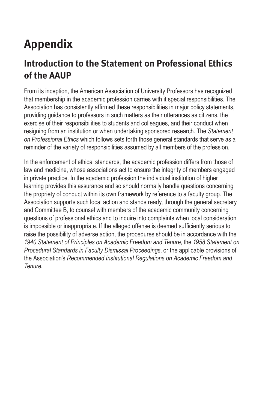# **Appendix**

### **Introduction to the Statement on Professional Ethics of the AAUP**

From its inception, the American Association of University Professors has recognized that membership in the academic profession carries with it special responsibilities. The Association has consistently affirmed these responsibilities in major policy statements, providing guidance to professors in such matters as their utterances as citizens, the exercise of their responsibilities to students and colleagues, and their conduct when resigning from an institution or when undertaking sponsored research. The *Statement on Professional Ethics* which follows sets forth those general standards that serve as a reminder of the variety of responsibilities assumed by all members of the profession.

In the enforcement of ethical standards, the academic profession differs from those of law and medicine, whose associations act to ensure the integrity of members engaged in private practice. In the academic profession the individual institution of higher learning provides this assurance and so should normally handle questions concerning the propriety of conduct within its own framework by reference to a faculty group. The Association supports such local action and stands ready, through the general secretary and Committee B, to counsel with members of the academic community concerning questions of professional ethics and to inquire into complaints when local consideration is impossible or inappropriate. If the alleged offense is deemed sufficiently serious to raise the possibility of adverse action, the procedures should be in accordance with the *1940 Statement of Principles on Academic Freedom and Tenure*, the *1958 Statement on Procedural Standards in Faculty Dismissal Proceedings*, or the applicable provisions of the Association's *Recommended Institutional Regulations on Academic Freedom and Tenure*.